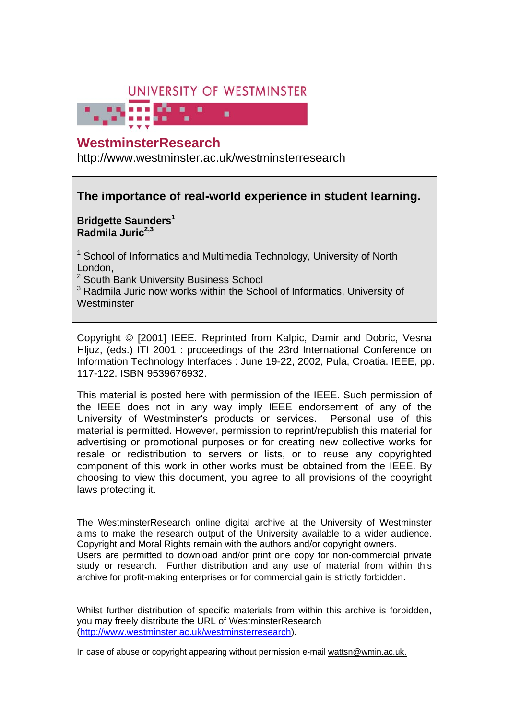# UNIVERSITY OF WESTMINSTER

# **WestminsterResearch**

http://www.westminster.ac.uk/westminsterresearch

# **The importance of real-world experience in student learning.**

**Bridgette Saunders<sup>1</sup> Radmila Juric2,3**

<sup>1</sup> School of Informatics and Multimedia Technology, University of North London,

<sup>2</sup> South Bank University Business School

<sup>3</sup> Radmila Juric now works within the School of Informatics, University of **Westminster** 

Copyright © [2001] IEEE. Reprinted from Kalpic, Damir and Dobric, Vesna Hljuz, (eds.) ITI 2001 : proceedings of the 23rd International Conference on Information Technology Interfaces : June 19-22, 2002, Pula, Croatia. IEEE, pp. 117-122. ISBN 9539676932.

This material is posted here with permission of the IEEE. Such permission of the IEEE does not in any way imply IEEE endorsement of any of the University of Westminster's products or services. Personal use of this material is permitted. However, permission to reprint/republish this material for advertising or promotional purposes or for creating new collective works for resale or redistribution to servers or lists, or to reuse any copyrighted component of this work in other works must be obtained from the IEEE. By choosing to view this document, you agree to all provisions of the copyright laws protecting it.

The WestminsterResearch online digital archive at the University of Westminster aims to make the research output of the University available to a wider audience. Copyright and Moral Rights remain with the authors and/or copyright owners. Users are permitted to download and/or print one copy for non-commercial private study or research. Further distribution and any use of material from within this archive for profit-making enterprises or for commercial gain is strictly forbidden.

Whilst further distribution of specific materials from within this archive is forbidden, you may freely distribute the URL of WestminsterResearch (http://www.westminster.ac.uk/westminsterresearch).

In case of abuse or copyright appearing without permission e-mail wattsn@wmin.ac.uk.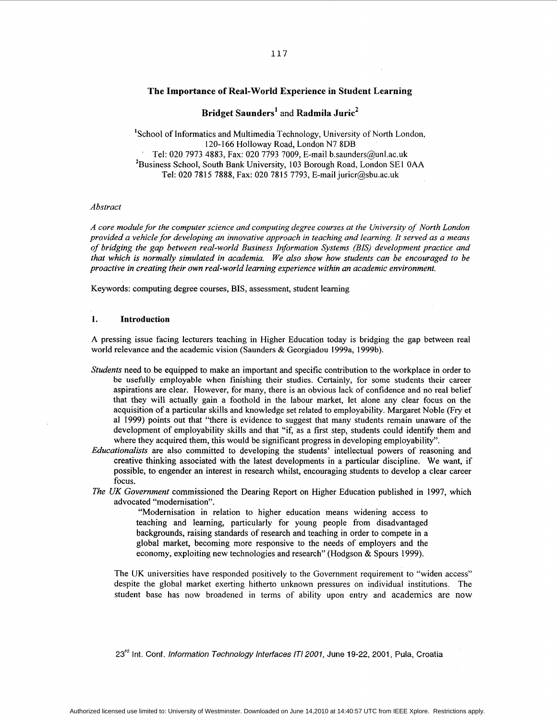# **The Importance of Real-World Experience in Student Learning**

**Bridget Saunders'** and **Radmila Juric2** 

'School of Informatics and Multimedia Technology, University of North London, 120- 166 Holloway Road, London N7 **8DB**  Tel: 020 7973 4883, Fax: 020 7793 7009, E-mail [b.saunders@unl.ac.uk](mailto:b.saunders@unl.ac.uk) 'Business School, South Bank University, 103 Borough Road, London SE1 **OAA**  Tel: 020 7815 7888, Fax: 020 7815 7793, E-mail [juricr@sbu.ac.uk](mailto:juricr@sbu.ac.uk) 

#### *Abstract*

*A core module for the computer science and computing degree courses at the University of North London provided a vehicle for developing an innovative approach in teaching and learning. It served as a means of bridging the gap between real-world Business Information Systems (BIS) development practice and that which is normally simulated in academia. We also show how students can be encouraged to be proactive in creating their own real-world learning experience within an academic environment.* 

Keywords: computing degree courses, **BIS,** assessment, student learning

#### 1. **Introduction**

**A** pressing issue facing lecturers teaching in Higher Education today is bridging the gap between real world relevance and the academic vision (Saunders & Georgiadou 1999a, 1999b).

- *Students* need to be equipped to make an important and specific contribution to the workplace in order to be usefully employable when finishing their studies. Certainly, for some students their career aspirations are clear. However, for many, there is an obvious lack of confidence and no real belief that they will actually gain a foothold in the labour market, let alone any clear focus on the acquisition of a particular skills and knowledge set related to employability. Margaret Noble (Fry et a1 1999) points out that "there is evidence to suggest that many students remain unaware of the development of employability skills and that "if, as a first step, students could identify them and where they acquired them, this would be significant progress in developing employability".
- *Educationalists* are also committed to developing the students' intellectual powers of reasoning and creative thinking associated with the latest developments in a particular discipline. We want, if possible, to engender an interest in research whilst, encouraging students to develop a clear career focus.
- *The UK Government* commissioned the Dearing Report on Higher Education published in 1997, which advocated "modernisation".

"Modernisation in relation to higher education means widening access to teaching and learning, particularly for young people from disadvantaged backgrounds, raising standards of research and teaching in order to compete in a global market, becoming more responsive to the needs of employers and the economy, exploiting new technologies and research" (Hodgson & Spours 1999).

The UK universities have responded positively to the Government requirement to "widen access" despite the global market exerting hitherto unknown pressures on individual institutions. The student base has now broadened in terms of ability upon entry and academics are now

23'd Int. Conf. *information Technology Interfaces /TI 2007,* June 19-22, 2001, Pula, Croatia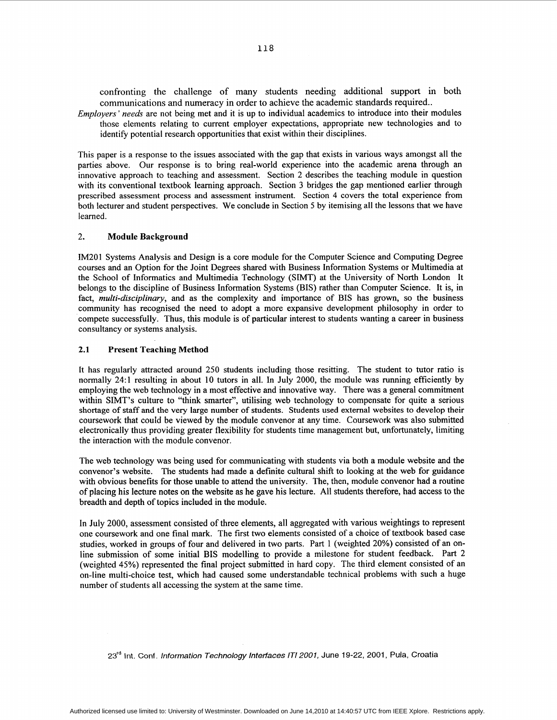confronting the challenge of many students needing additional support in both communications and numeracy in order to achieve the academic standards required..

Employers ' needs are not being met and it is up to individual academics to introduce into their modules those elements relating to current employer expectations, appropriate new technologies and to identify potential research opportunities that exist within their disciplines.

This paper is a response to the issues associated with the gap that exists in various ways amongst all the parties above. Our response is to bring real-world experience into the academic arena through an innovative approach to teaching and assessment. Section 2 describes the teaching module in question with its conventional textbook learning approach. Section 3 bridges the gap mentioned earlier through prescribed assessment process and assessment instrument. Section **4** covers the total experience from both lecturer and student perspectives. We conclude in Section *5* by itemising all the lessons that we have learned.

# 2. **Module Background**

IM201 Systems Analysis and Design is a core module for the Computer Science and Computing Degree courses and an Option for the Joint Degrees shared with Business Information Systems or Multimedia at the School of Informatics and Multimedia Technology (SIMT) at the University of North London It belongs to the discipline of Business Information Systems (BIS) rather than Computer Science. It is, in fact, *multi-disciplinary,* and as the complexity and importance of BIS has grown, so the business community has recognised the need to adopt a more expansive development philosophy in order to compete successfully. Thus, this module is of particular interest to students wanting a career in business consultancy or systems analysis.

# **2.1 Present Teaching Method**

It has regularly attracted around *250* students including those resitting. The student to tutor ratio is normally 24:l resulting in about 10 tutors in all. In July 2000, the module was running efficiently by employing the web technology in a most effective and innovative way. There was a general commitment within SIMT's culture to "think smarter", utilising web technology to compensate for quite a serious shortage of staff and the very large number of students. Students used external websites to develop their coursework that could be viewed by the module convenor at any time. Coursework was also submitted electronically thus providing greater flexibility for students time management but, unfortunately, limiting the interaction with the module convenor.

The web technology was being used for communicating with students via both a module website and the convenor's website. The students had made **a** definite cultural shift to looking at the web for guidance with obvious benefits for those unable to attend the university. The, then, module convenor had a routine of placing his lecture notes on the website **as** he gave his lecture. All students therefore, had access to the breadth and depth of topics included in the module.

In July 2000, assessment consisted of three elements, all aggregated with various weightings to represent one coursework and one final mark. The first two elements consisted of a choice of textbook based case studies, worked in groups of four and delivered in two parts. Part 1 (weighted *20%)* consisted of an online submission of some initial BIS modelling to provide a milestone for student feedback. Part 2 (weighted 45%) represented the final project submitted in hard copy. The third element consisted of an on-line multi-choice test, which had caused some understandable technical problems with such a huge number of students all accessing the system at the same time.

**23rd** Int. **Conf.** information *Technology lnterfaces /TI 2007,* June 19-22, 2001, Pula, Croatia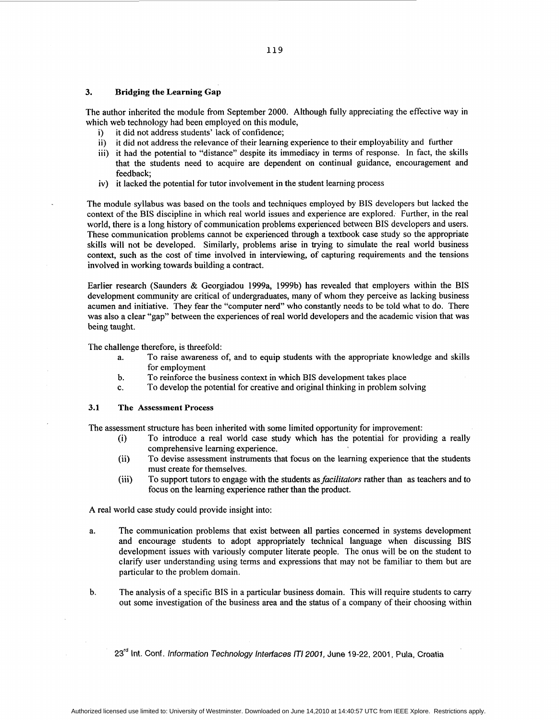## **3. Bridging the Learning Gap**

The author inherited the module from September 2000. Although fully appreciating the effective way in which web technology had been employed on this module,

- i) it did not address students' lack of confidence;
- ii) it did not address the relevance of their learning experience to their employability and further
- iii) it had the potential to "distance" despite its immediacy in terms of response. In fact, the skills that the students need to acquire are dependent on continual guidance, encouragement and feedback;
- iv) it lacked the potential for tutor involvement in the student learning process

The module syllabus was based on the tools and techniques employed by BIS developers but lacked the context of the BIS discipline in which real world issues and experience are explored. Further, in the real world, there is a long history of communication problems experienced between BIS developers and users. These communication problems cannot be experienced through a textbook case study so the appropriate skills will not be developed. Similarly, problems arise in trying to simulate the real world business context, such as the cost of time involved in interviewing, of capturing requirements and the tensions involved in working towards building a contract.

Earlier research (Saunders & Georgiadou 1999a, 1999b) has revealed that employers within the BIS development community are critical of undergraduates, many of whom they perceive as lacking business acumen and initiative. They fear the "computer nerd" who constantly needs to be told what to do. There was also a clear "gap" between the experiences of real world developers and the academic vision that was being taught.

The challenge therefore, is threefold:

- a. To raise awareness of, and to equip students with the appropriate knowledge and skills for employment
- **b.**  To reinforce the business context in which BIS development takes place
- c. To develop the potential for creative and original thinking in problem solving

## **3.1 The Assessment Process**

The assessment structure has been inherited with some limited opportunity for improvement:

- (i) To introduce a real world case study which has the potential for providing a really comprehensive learning experience.
- (ii) To devise assessment instruments that focus on the learning experience that the students must create for themselves.
- (iii) To support tutors to engage with the students as *facilitators* rather than as teachers and to focus on the learning experience rather than the product.

**A** real world case study could provide insight into:

- a. The communication problems that exist between all parties concerned in systems development and encourage students to adopt appropriately technical language when discussing BIS development issues with variously computer literate people. The onus will be on the student to clarify user understanding using terms and expressions that may not be familiar to them but are particular to the problem domain.
- b. The analysis of a specific BIS in a particular business domain. This will require students to cany out some investigation of the business area and the status of a company of their choosing within

23<sup>rd</sup> Int. Conf. Information Technology Interfaces ITI 2001, June 19-22, 2001, Pula, Croatia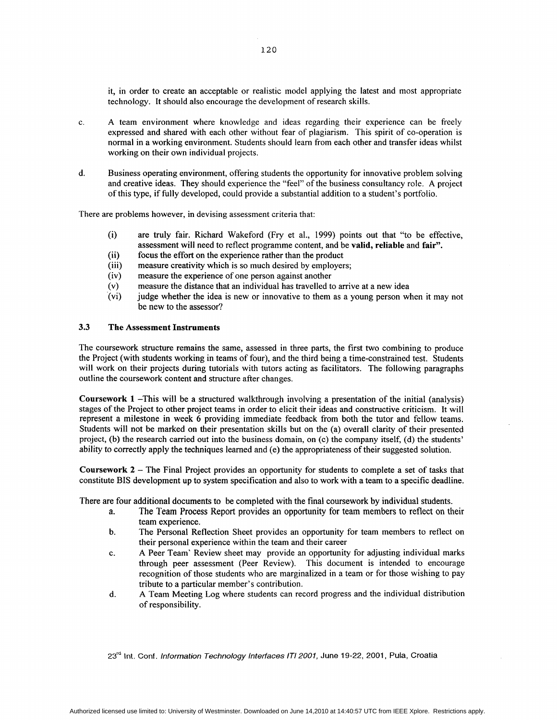it, in order to create an acceptable or realistic model applying the latest and most appropriate technology. It should also encourage the development of research skills.

- c. A team environment where knowledge and ideas regarding their experience can be freely expressed and shared with each other without fear of plagiarism. This spirit of co-operation is normal in a working environment. Students should learn from each other and transfer ideas whilst working on their own individual projects.
- d. Business operating environment, offering students the opportunity for innovative problem solving and creative ideas. They should experience the "feel" of the business consultancy role. A project of this type, if fully developed, could provide a substantial addition to a student's portfolio.

There are problems however, in devising assessment criteria that:

- (i) are truly fair. Richard Wakeford (Fry et al., 1999) points out that "to be effective, assessment will need to reflect programme content, and be **valid, reliable** and **fair".**
- (ii) focus the effort on the experience rather than the product
- (iii) measure creativity which is so much desired by employers;
- (iv) measure the experience of one person against another
- (v) measure the distance that an individual has travelled to arrive at a new idea
- (vi) judge whether the idea is new or innovative to them as a young person when it may not be new to the assessor?

# **3.3 The Assessment Instruments**

The coursework structure remains the same, assessed in three parts, the first two combining to produce the Project (with students working in teams of four), and the third being a time-constrained test. Students will work on their projects during tutorials with tutors acting as facilitators. The following paragraphs outline the coursework content and structure after changes.

**Coursework** 1 -This will be a structured walkthrough involving a presentation of the initial (analysis) stages of the Project to other project teams in order to elicit their ideas and constructive criticism. It will represent a milestone in week 6 providing immediate feedback from both the tutor and fellow teams. Students will not be marked on their presentation skills but on the (a) overall clarity of their presented project, (b) the research carried out into the business domain, on (c) the company itself, (d) the students' ability to correctly apply the techniques learned and (e) the appropriateness of their suggested solution.

**Coursework 2** - The Final Project provides an opportunity for students to complete a set of tasks that constitute BIS development up to system specification and also to work with a team to a specific deadline.

There are four additional documents to be completed with the final coursework by individual students.

- a. The Team Process Report provides an opportunity for team members to reflect on their team experience.
- b. The Personal Reflection Sheet provides an opportunity for team members to reflect on their personal experience within the team and their career
- c. A Peer Team' Review sheet may provide an opportunity for adjusting individual marks through peer assessment (Peer Review). This document is intended to encourage recognition of those students who are marginalized in a team or for those wishing to pay tribute to a particular member's contribution.
- A Team Meeting Log where students can record progress and the individual distribution of responsibility. d.

**23'd Int.** Conf. *lnformation Technology lnterfaces /TI 2007,* **June** 19-22, 2001, Pula, Croatia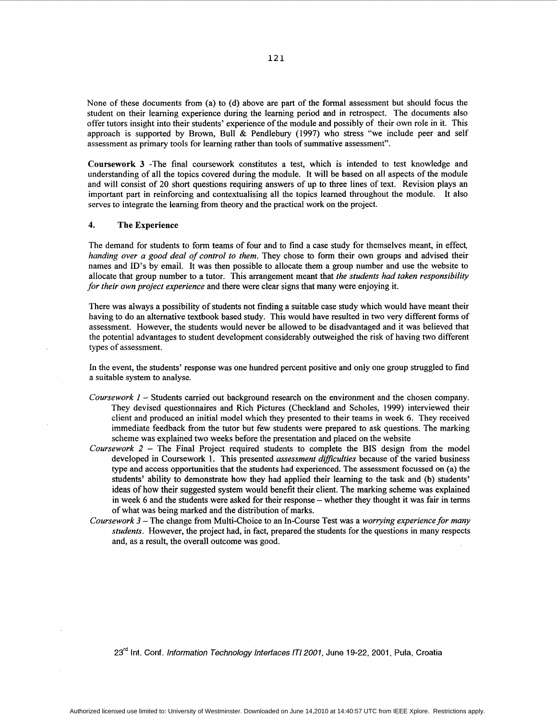None of these documents from (a) to (d) above are part of the formal assessment but should focus the student on their learning experience during the learning period and in retrospect. The documents also offer tutors insight into their students' experience of the module and possibly of their own role in it. This approach is supported by Brown, Bull & Pendlebury (1997) who stress "we include peer and self assessment as primary tools for learning rather than tools of summative assessment".

**Coursework** 3 -The final coursework constitutes a test, which is intended to test knowledge and understanding of all the topics covered during the module. It will be based on all aspects of the module and will consist of 20 short questions requiring answers of up to three lines of text. Revision plays an important part in reinforcing and contextualising all the topics learned throughout the module. It also serves to integrate the learning from theory and the practical work on the project.

## **4. The Experience**

The demand for students to form teams of four and to find a case study for themselves meant, in effect, *handing over a good deal of control to them.* They chose to form their own groups and advised their names and ID'S by email. It was then possible to allocate them a group number and use the website to allocate that group number to a tutor. This arrangement meant that *the students had taken responsibility for their own project experience* and there were clear signs that many were enjoying it.

There was always a possibility of students not finding a suitable case study which would have meant their having to do an alternative textbook based study. This would have resulted in two very different forms of assessment. However, the students would never be allowed to be disadvantaged and it was believed that the potential advantages to student development considerably outweighed the risk of having two different types of assessment.

In the event, the students' response was one hundred percent positive and only one group struggled to find a suitable system to analyse.

- *Coursework I*  Students carried out background research on the environment and the chosen company. They devised questionnaires and Rich Pictures (Checkland and Scholes, 1999) interviewed their client and produced an initial model which they presented to their teams in week 6. They received immediate feedback from the tutor but few students were prepared to ask questions. The marking scheme was explained two weeks before the presentation and placed on the website
- *Coursework* <sup>2</sup> The Final Project required students to complete the BIS design from the model developed in Coursework 1. This presented *assessment dztfficulties* because of the varied business type and access opportunities that the students had experienced. The assessment focussed on (a) the students' ability to demonstrate how they had applied their learning to the task and (b) students' ideas of how their suggested system would benefit their client. The marking scheme was explained in week 6 and the students were asked for their response - whether they thought it was fair in terms of what was being marked and the distribution of marks.
- *Coursework* <sup>3</sup> The change from Multi-Choice to an In-Course Test was a *worrying experience for many students.* However, the project had, in fact, prepared the students for the questions in many respects and, as a result, the overall outcome was good.

**23'd** Int. Conf. *lnformafion Technology lnferfaces /TI 2007,* June 19-22, 2001, Pula, Croatia